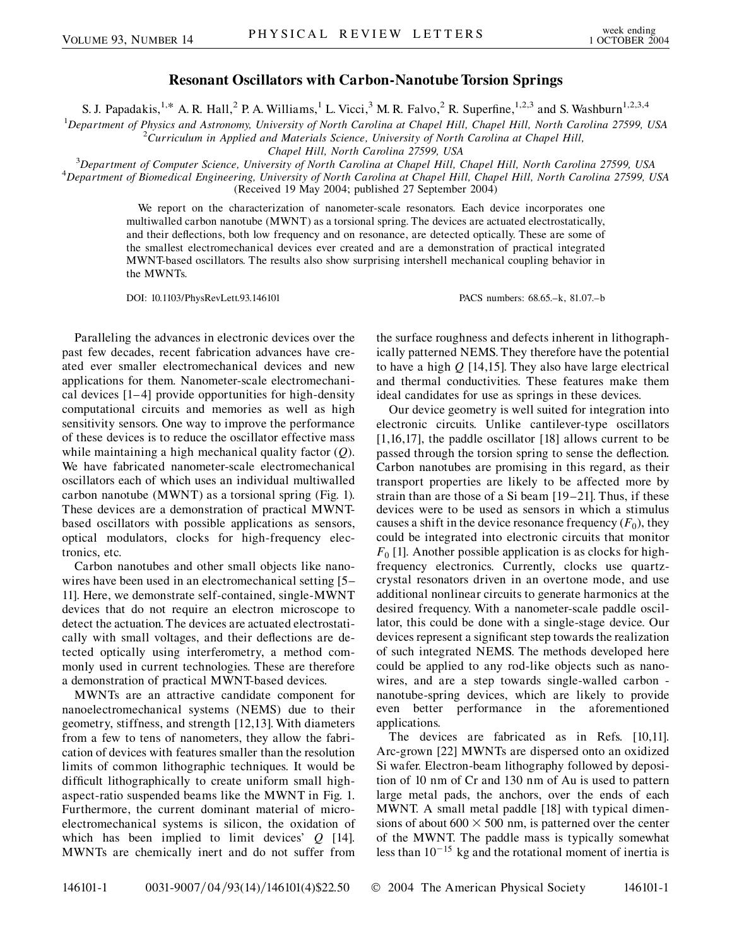## **Resonant Oscillators with Carbon-Nanotube Torsion Springs**

S. J. Papadakis,<sup>1,\*</sup> A. R. Hall,<sup>2</sup> P. A. Williams,<sup>1</sup> L. Vicci,<sup>3</sup> M. R. Falvo,<sup>2</sup> R. Superfine,<sup>1,2,3</sup> and S. Washburn<sup>1,2,3,4</sup>

<sup>1</sup>Department of Physics and Astronomy, University of North Carolina at Chapel Hill, Chapel Hill, North Carolina 27599, USA<br><sup>2</sup>Curriculum in Applied and Materials Science, University of North Carolina at Chapel Hill

*Curriculum in Applied and Materials Science, University of North Carolina at Chapel Hill,*

*Chapel Hill, North Carolina 27599, USA*<br><sup>3</sup> Department of Computer Science, University of North Carolina at Chapel Hill, C

*Department of Computer Science, University of North Carolina at Chapel Hill, Chapel Hill, North Carolina 27599, USA* <sup>4</sup> *Department of Biomedical Engineering, University of North Carolina at Chapel Hill, Chapel Hill, North Carolina 27599, USA* (Received 19 May 2004; published 27 September 2004)

> We report on the characterization of nanometer-scale resonators. Each device incorporates one multiwalled carbon nanotube (MWNT) as a torsional spring. The devices are actuated electrostatically, and their deflections, both low frequency and on resonance, are detected optically. These are some of the smallest electromechanical devices ever created and are a demonstration of practical integrated MWNT-based oscillators. The results also show surprising intershell mechanical coupling behavior in the MWNTs.

> DOI: 10.1103/PhysRevLett.93.146101 PACS numbers: 68.65.–k, 81.07.–b

Paralleling the advances in electronic devices over the past few decades, recent fabrication advances have created ever smaller electromechanical devices and new applications for them. Nanometer-scale electromechanical devices [1–4] provide opportunities for high-density computational circuits and memories as well as high sensitivity sensors. One way to improve the performance of these devices is to reduce the oscillator effective mass while maintaining a high mechanical quality factor (*Q*). We have fabricated nanometer-scale electromechanical oscillators each of which uses an individual multiwalled carbon nanotube (MWNT) as a torsional spring (Fig. 1). These devices are a demonstration of practical MWNTbased oscillators with possible applications as sensors, optical modulators, clocks for high-frequency electronics, etc.

Carbon nanotubes and other small objects like nanowires have been used in an electromechanical setting [5– 11]. Here, we demonstrate self-contained, single-MWNT devices that do not require an electron microscope to detect the actuation. The devices are actuated electrostatically with small voltages, and their deflections are detected optically using interferometry, a method commonly used in current technologies. These are therefore a demonstration of practical MWNT-based devices.

MWNTs are an attractive candidate component for nanoelectromechanical systems (NEMS) due to their geometry, stiffness, and strength [12,13]. With diameters from a few to tens of nanometers, they allow the fabrication of devices with features smaller than the resolution limits of common lithographic techniques. It would be difficult lithographically to create uniform small highaspect-ratio suspended beams like the MWNT in Fig. 1. Furthermore, the current dominant material of microelectromechanical systems is silicon, the oxidation of which has been implied to limit devices' *Q* [14]. MWNTs are chemically inert and do not suffer from

the surface roughness and defects inherent in lithographically patterned NEMS. They therefore have the potential to have a high *Q* [14,15]. They also have large electrical and thermal conductivities. These features make them ideal candidates for use as springs in these devices.

Our device geometry is well suited for integration into electronic circuits. Unlike cantilever-type oscillators [1,16,17], the paddle oscillator [18] allows current to be passed through the torsion spring to sense the deflection. Carbon nanotubes are promising in this regard, as their transport properties are likely to be affected more by strain than are those of a Si beam [19–21]. Thus, if these devices were to be used as sensors in which a stimulus causes a shift in the device resonance frequency  $(F_0)$ , they could be integrated into electronic circuits that monitor  $F_0$  [1]. Another possible application is as clocks for highfrequency electronics. Currently, clocks use quartzcrystal resonators driven in an overtone mode, and use additional nonlinear circuits to generate harmonics at the desired frequency. With a nanometer-scale paddle oscillator, this could be done with a single-stage device. Our devices represent a significant step towards the realization of such integrated NEMS. The methods developed here could be applied to any rod-like objects such as nanowires, and are a step towards single-walled carbon nanotube-spring devices, which are likely to provide even better performance in the aforementioned applications.

The devices are fabricated as in Refs. [10,11]. Arc-grown [22] MWNTs are dispersed onto an oxidized Si wafer. Electron-beam lithography followed by deposition of 10 nm of Cr and 130 nm of Au is used to pattern large metal pads, the anchors, over the ends of each MWNT. A small metal paddle [18] with typical dimensions of about  $600 \times 500$  nm, is patterned over the center of the MWNT. The paddle mass is typically somewhat less than  $10^{-15}$  kg and the rotational moment of inertia is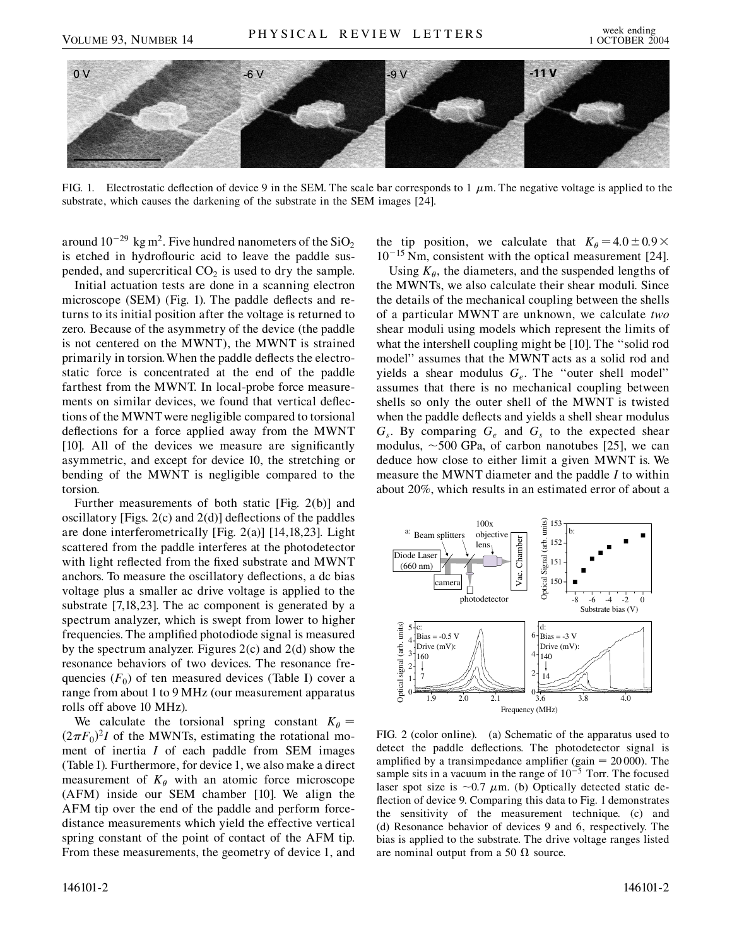

FIG. 1. Electrostatic deflection of device 9 in the SEM. The scale bar corresponds to 1  $\mu$ m. The negative voltage is applied to the substrate, which causes the darkening of the substrate in the SEM images [24].

around  $10^{-29} \text{ kg m}^2$ . Five hundred nanometers of the SiO<sub>2</sub> is etched in hydroflouric acid to leave the paddle suspended, and supercritical  $CO<sub>2</sub>$  is used to dry the sample.

Initial actuation tests are done in a scanning electron microscope (SEM) (Fig. 1). The paddle deflects and returns to its initial position after the voltage is returned to zero. Because of the asymmetry of the device (the paddle is not centered on the MWNT), the MWNT is strained primarily in torsion.When the paddle deflects the electrostatic force is concentrated at the end of the paddle farthest from the MWNT. In local-probe force measurements on similar devices, we found that vertical deflections of the MWNT were negligible compared to torsional deflections for a force applied away from the MWNT [10]. All of the devices we measure are significantly asymmetric, and except for device 10, the stretching or bending of the MWNT is negligible compared to the torsion.

Further measurements of both static [Fig. 2(b)] and oscillatory [Figs. 2(c) and 2(d)] deflections of the paddles are done interferometrically [Fig. 2(a)] [14,18,23]. Light scattered from the paddle interferes at the photodetector with light reflected from the fixed substrate and MWNT anchors. To measure the oscillatory deflections, a dc bias voltage plus a smaller ac drive voltage is applied to the substrate [7,18,23]. The ac component is generated by a spectrum analyzer, which is swept from lower to higher frequencies. The amplified photodiode signal is measured by the spectrum analyzer. Figures 2(c) and 2(d) show the resonance behaviors of two devices. The resonance frequencies  $(F_0)$  of ten measured devices (Table I) cover a range from about 1 to 9 MHz (our measurement apparatus rolls off above 10 MHz).

We calculate the torsional spring constant  $K_{\theta} =$  $(2\pi F_0)^2 I$  of the MWNTs, estimating the rotational moment of inertia *I* of each paddle from SEM images (Table I). Furthermore, for device 1, we also make a direct measurement of  $K_{\theta}$  with an atomic force microscope (AFM) inside our SEM chamber [10]. We align the AFM tip over the end of the paddle and perform forcedistance measurements which yield the effective vertical spring constant of the point of contact of the AFM tip. From these measurements, the geometry of device 1, and the tip position, we calculate that  $K_{\theta} = 4.0 \pm 0.9 \times$ 10<sup>-15</sup> Nm, consistent with the optical measurement [24].

Using  $K_{\theta}$ , the diameters, and the suspended lengths of the MWNTs, we also calculate their shear moduli. Since the details of the mechanical coupling between the shells of a particular MWNT are unknown, we calculate *two* shear moduli using models which represent the limits of what the intershell coupling might be [10]. The ''solid rod model'' assumes that the MWNT acts as a solid rod and yields a shear modulus *Ge*. The ''outer shell model'' assumes that there is no mechanical coupling between shells so only the outer shell of the MWNT is twisted when the paddle deflects and yields a shell shear modulus  $G_s$ . By comparing  $G_e$  and  $G_s$  to the expected shear modulus,  $\sim$  500 GPa, of carbon nanotubes [25], we can deduce how close to either limit a given MWNT is. We measure the MWNT diameter and the paddle *I* to within about 20%, which results in an estimated error of about a



FIG. 2 (color online). (a) Schematic of the apparatus used to detect the paddle deflections. The photodetector signal is amplified by a transimpedance amplifier (gain  $= 20 000$ ). The sample sits in a vacuum in the range of  $10^{-5}$  Torr. The focused laser spot size is  $\sim 0.7 \mu$ m. (b) Optically detected static deflection of device 9. Comparing this data to Fig. 1 demonstrates the sensitivity of the measurement technique. (c) and (d) Resonance behavior of devices 9 and 6, respectively. The bias is applied to the substrate. The drive voltage ranges listed are nominal output from a 50  $\Omega$  source.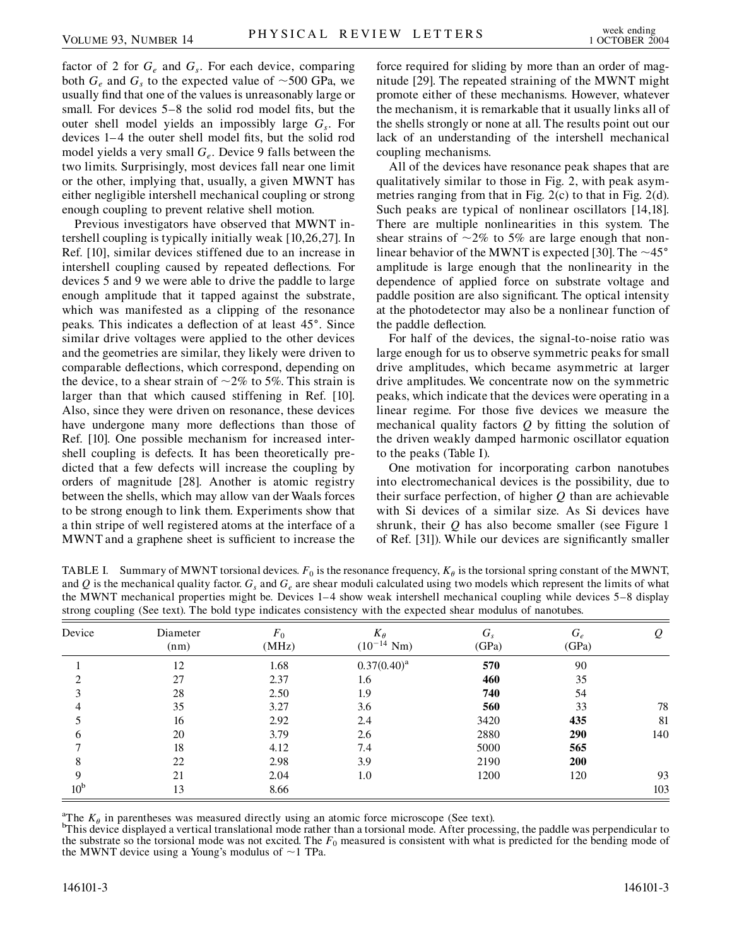factor of 2 for  $G_e$  and  $G_s$ . For each device, comparing both  $G_e$  and  $G_s$  to the expected value of  $\sim$ 500 GPa, we usually find that one of the values is unreasonably large or small. For devices 5–8 the solid rod model fits, but the outer shell model yields an impossibly large *Gs*. For devices 1– 4 the outer shell model fits, but the solid rod model yields a very small  $G_e$ . Device 9 falls between the two limits. Surprisingly, most devices fall near one limit or the other, implying that, usually, a given MWNT has either negligible intershell mechanical coupling or strong enough coupling to prevent relative shell motion.

Previous investigators have observed that MWNT intershell coupling is typically initially weak [10,26,27]. In Ref. [10], similar devices stiffened due to an increase in intershell coupling caused by repeated deflections. For devices 5 and 9 we were able to drive the paddle to large enough amplitude that it tapped against the substrate, which was manifested as a clipping of the resonance peaks. This indicates a deflection of at least 45°. Since similar drive voltages were applied to the other devices and the geometries are similar, they likely were driven to comparable deflections, which correspond, depending on the device, to a shear strain of  $\sim$ 2% to 5%. This strain is larger than that which caused stiffening in Ref. [10]. Also, since they were driven on resonance, these devices have undergone many more deflections than those of Ref. [10]. One possible mechanism for increased intershell coupling is defects. It has been theoretically predicted that a few defects will increase the coupling by orders of magnitude [28]. Another is atomic registry between the shells, which may allow van der Waals forces to be strong enough to link them. Experiments show that a thin stripe of well registered atoms at the interface of a MWNT and a graphene sheet is sufficient to increase the force required for sliding by more than an order of magnitude [29]. The repeated straining of the MWNT might promote either of these mechanisms. However, whatever the mechanism, it is remarkable that it usually links all of the shells strongly or none at all. The results point out our lack of an understanding of the intershell mechanical coupling mechanisms.

All of the devices have resonance peak shapes that are qualitatively similar to those in Fig. 2, with peak asymmetries ranging from that in Fig. 2(c) to that in Fig. 2(d). Such peaks are typical of nonlinear oscillators [14,18]. There are multiple nonlinearities in this system. The shear strains of  $\sim$ 2% to 5% are large enough that nonlinear behavior of the MWNT is expected [30]. The  $\sim$ 45 $^{\circ}$ amplitude is large enough that the nonlinearity in the dependence of applied force on substrate voltage and paddle position are also significant. The optical intensity at the photodetector may also be a nonlinear function of the paddle deflection.

For half of the devices, the signal-to-noise ratio was large enough for us to observe symmetric peaks for small drive amplitudes, which became asymmetric at larger drive amplitudes. We concentrate now on the symmetric peaks, which indicate that the devices were operating in a linear regime. For those five devices we measure the mechanical quality factors *Q* by fitting the solution of the driven weakly damped harmonic oscillator equation to the peaks (Table I).

One motivation for incorporating carbon nanotubes into electromechanical devices is the possibility, due to their surface perfection, of higher *Q* than are achievable with Si devices of a similar size. As Si devices have shrunk, their *Q* has also become smaller (see Figure 1 of Ref. [31]). While our devices are significantly smaller

TABLE I. Summary of MWNT torsional devices.  $F_0$  is the resonance frequency,  $K_\theta$  is the torsional spring constant of the MWNT, and  $Q$  is the mechanical quality factor.  $G_s$  and  $G_e$  are shear moduli calculated using two models which represent the limits of what the MWNT mechanical properties might be. Devices 1–4 show weak intershell mechanical coupling while devices 5–8 display strong coupling (See text). The bold type indicates consistency with the expected shear modulus of nanotubes.

| Device          | Diameter<br>(nm) | $F_0$<br>(MHz) | $K_{\theta}$<br>$(10^{-14} \text{ Nm})$ | $G_s$<br>(GPa) | $G_e$<br>(GPa) | Q   |
|-----------------|------------------|----------------|-----------------------------------------|----------------|----------------|-----|
|                 | 12               | 1.68           | $0.37(0.40)^a$                          | 570            | 90             |     |
|                 | 27               | 2.37           | 1.6                                     | 460            | 35             |     |
|                 | 28               | 2.50           | 1.9                                     | 740            | 54             |     |
|                 | 35               | 3.27           | 3.6                                     | 560            | 33             | 78  |
|                 | 16               | 2.92           | 2.4                                     | 3420           | 435            | 81  |
| <sub>(</sub>    | 20               | 3.79           | 2.6                                     | 2880           | 290            | 140 |
|                 | 18               | 4.12           | 7.4                                     | 5000           | 565            |     |
| 8               | 22               | 2.98           | 3.9                                     | 2190           | 200            |     |
| Q               | 21               | 2.04           | 1.0                                     | 1200           | 120            | 93  |
| 10 <sup>b</sup> | 13               | 8.66           |                                         |                |                | 103 |

<sup>a</sup>The  $K_{\theta}$  in parentheses was measured directly using an atomic force microscope (See text).

<sup>b</sup>This device displayed a vertical translational mode rather than a torsional mode. After processing, the paddle was perpendicular to the substrate so the torsional mode was not excited. The *F*<sub>0</sub> measured is consistent with what is predicted for the bending mode of the MWNT device using a Young's modulus of  $\sim$ 1 TPa.